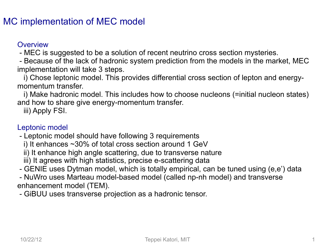## MC implementation of MEC model

#### **Overview**

- MEC is suggested to be a solution of recent neutrino cross section mysteries.

 - Because of the lack of hadronic system prediction from the models in the market, MEC implementation will take 3 steps.

 i) Chose leptonic model. This provides differential cross section of lepton and energymomentum transfer.

 i) Make hadronic model. This includes how to choose nucleons (=initial nucleon states) and how to share give energy-momentum transfer.

iii) Apply FSI.

### Leptonic model

- Leptonic model should have following 3 requirements

- i) It enhances ~30% of total cross section around 1 GeV
- ii) It enhance high angle scattering, due to transverse nature
- iii) It agrees with high statistics, precise e-scattering data
- GENIE uses Dytman model, which is totally empirical, can be tuned using (e,e') data

 - NuWro uses Marteau model-based model (called np-nh model) and transverse enhancement model (TEM).

- GiBUU uses transverse projection as a hadronic tensor.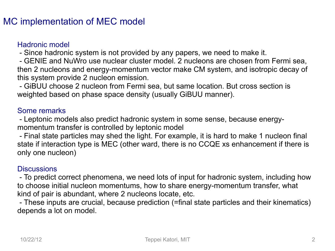## MC implementation of MEC model

#### Hadronic model

- Since hadronic system is not provided by any papers, we need to make it.

 - GENIE and NuWro use nuclear cluster model. 2 nucleons are chosen from Fermi sea, then 2 nucleons and energy-momentum vector make CM system, and isotropic decay of this system provide 2 nucleon emission.

 - GiBUU choose 2 nucleon from Fermi sea, but same location. But cross section is weighted based on phase space density (usually GiBUU manner).

#### Some remarks

 - Leptonic models also predict hadronic system in some sense, because energymomentum transfer is controlled by leptonic model

 - Final state particles may shed the light. For example, it is hard to make 1 nucleon final state if interaction type is MEC (other ward, there is no CCQE xs enhancement if there is only one nucleon)

#### **Discussions**

 - To predict correct phenomena, we need lots of input for hadronic system, including how to choose initial nucleon momentums, how to share energy-momentum transfer, what kind of pair is abundant, where 2 nucleons locate, etc.

 - These inputs are crucial, because prediction (=final state particles and their kinematics) depends a lot on model.